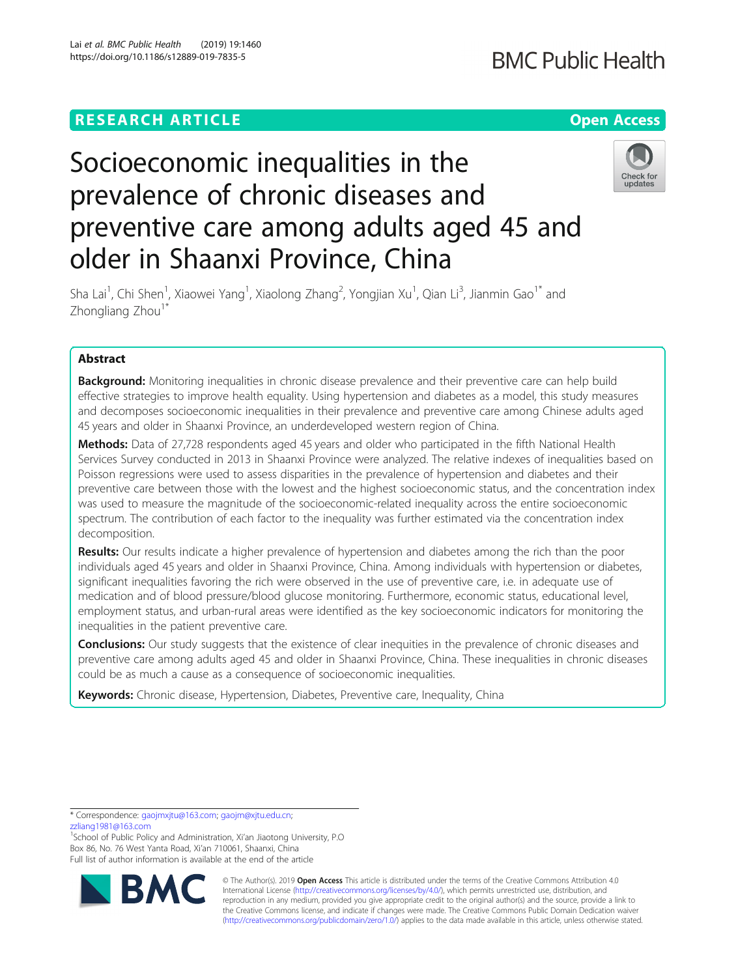## **RESEARCH ARTICLE Example 2014 12:30 The Contract of Contract ACCESS**

# Socioeconomic inequalities in the prevalence of chronic diseases and preventive care among adults aged 45 and older in Shaanxi Province, China



Sha Lai<sup>1</sup>, Chi Shen<sup>1</sup>, Xiaowei Yang<sup>1</sup>, Xiaolong Zhang<sup>2</sup>, Yongjian Xu<sup>1</sup>, Qian Li<sup>3</sup>, Jianmin Gao<sup>1\*</sup> and Zhongliang Zhou<sup>1\*</sup>

### Abstract

**Background:** Monitoring inequalities in chronic disease prevalence and their preventive care can help build effective strategies to improve health equality. Using hypertension and diabetes as a model, this study measures and decomposes socioeconomic inequalities in their prevalence and preventive care among Chinese adults aged 45 years and older in Shaanxi Province, an underdeveloped western region of China.

Methods: Data of 27,728 respondents aged 45 years and older who participated in the fifth National Health Services Survey conducted in 2013 in Shaanxi Province were analyzed. The relative indexes of inequalities based on Poisson regressions were used to assess disparities in the prevalence of hypertension and diabetes and their preventive care between those with the lowest and the highest socioeconomic status, and the concentration index was used to measure the magnitude of the socioeconomic-related inequality across the entire socioeconomic spectrum. The contribution of each factor to the inequality was further estimated via the concentration index decomposition.

Results: Our results indicate a higher prevalence of hypertension and diabetes among the rich than the poor individuals aged 45 years and older in Shaanxi Province, China. Among individuals with hypertension or diabetes, significant inequalities favoring the rich were observed in the use of preventive care, i.e. in adequate use of medication and of blood pressure/blood glucose monitoring. Furthermore, economic status, educational level, employment status, and urban-rural areas were identified as the key socioeconomic indicators for monitoring the inequalities in the patient preventive care.

**Conclusions:** Our study suggests that the existence of clear inequities in the prevalence of chronic diseases and preventive care among adults aged 45 and older in Shaanxi Province, China. These inequalities in chronic diseases could be as much a cause as a consequence of socioeconomic inequalities.

Keywords: Chronic disease, Hypertension, Diabetes, Preventive care, Inequality, China

\* Correspondence: [gaojmxjtu@163.com](mailto:gaojmxjtu@163.com); [gaojm@xjtu.edu.cn;](mailto:gaojm@xjtu.edu.cn)

[zzliang1981@163.com](mailto:zzliang1981@163.com)

<sup>1</sup>School of Public Policy and Administration, Xi'an Jiaotong University, P.O Box 86, No. 76 West Yanta Road, Xi'an 710061, Shaanxi, China Full list of author information is available at the end of the article



© The Author(s). 2019 **Open Access** This article is distributed under the terms of the Creative Commons Attribution 4.0 International License [\(http://creativecommons.org/licenses/by/4.0/](http://creativecommons.org/licenses/by/4.0/)), which permits unrestricted use, distribution, and reproduction in any medium, provided you give appropriate credit to the original author(s) and the source, provide a link to the Creative Commons license, and indicate if changes were made. The Creative Commons Public Domain Dedication waiver [\(http://creativecommons.org/publicdomain/zero/1.0/](http://creativecommons.org/publicdomain/zero/1.0/)) applies to the data made available in this article, unless otherwise stated.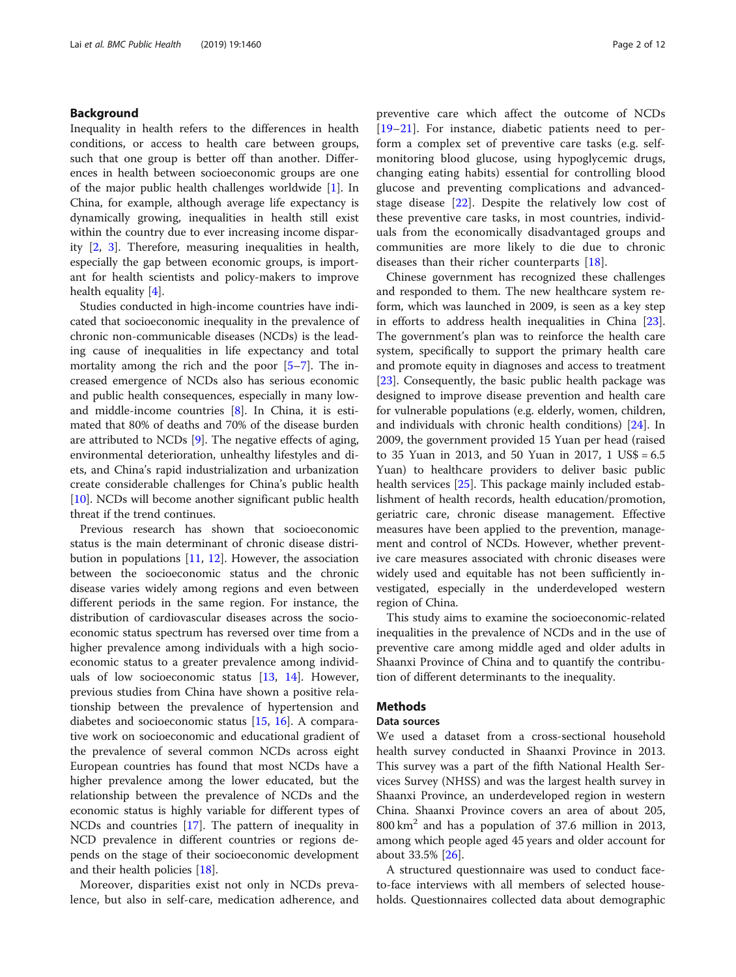#### Background

Inequality in health refers to the differences in health conditions, or access to health care between groups, such that one group is better off than another. Differences in health between socioeconomic groups are one of the major public health challenges worldwide [[1](#page-9-0)]. In China, for example, although average life expectancy is dynamically growing, inequalities in health still exist within the country due to ever increasing income disparity [\[2](#page-9-0), [3](#page-10-0)]. Therefore, measuring inequalities in health, especially the gap between economic groups, is important for health scientists and policy-makers to improve health equality  $[4]$  $[4]$ .

Studies conducted in high-income countries have indicated that socioeconomic inequality in the prevalence of chronic non-communicable diseases (NCDs) is the leading cause of inequalities in life expectancy and total mortality among the rich and the poor [[5](#page-10-0)–[7](#page-10-0)]. The increased emergence of NCDs also has serious economic and public health consequences, especially in many lowand middle-income countries [[8\]](#page-10-0). In China, it is estimated that 80% of deaths and 70% of the disease burden are attributed to NCDs [[9\]](#page-10-0). The negative effects of aging, environmental deterioration, unhealthy lifestyles and diets, and China's rapid industrialization and urbanization create considerable challenges for China's public health [[10\]](#page-10-0). NCDs will become another significant public health threat if the trend continues.

Previous research has shown that socioeconomic status is the main determinant of chronic disease distribution in populations [[11,](#page-10-0) [12](#page-10-0)]. However, the association between the socioeconomic status and the chronic disease varies widely among regions and even between different periods in the same region. For instance, the distribution of cardiovascular diseases across the socioeconomic status spectrum has reversed over time from a higher prevalence among individuals with a high socioeconomic status to a greater prevalence among individuals of low socioeconomic status [[13,](#page-10-0) [14\]](#page-10-0). However, previous studies from China have shown a positive relationship between the prevalence of hypertension and diabetes and socioeconomic status [[15](#page-10-0), [16](#page-10-0)]. A comparative work on socioeconomic and educational gradient of the prevalence of several common NCDs across eight European countries has found that most NCDs have a higher prevalence among the lower educated, but the relationship between the prevalence of NCDs and the economic status is highly variable for different types of NCDs and countries [\[17](#page-10-0)]. The pattern of inequality in NCD prevalence in different countries or regions depends on the stage of their socioeconomic development and their health policies [[18](#page-10-0)].

Moreover, disparities exist not only in NCDs prevalence, but also in self-care, medication adherence, and preventive care which affect the outcome of NCDs [[19](#page-10-0)–[21\]](#page-10-0). For instance, diabetic patients need to perform a complex set of preventive care tasks (e.g. selfmonitoring blood glucose, using hypoglycemic drugs, changing eating habits) essential for controlling blood glucose and preventing complications and advancedstage disease [[22\]](#page-10-0). Despite the relatively low cost of these preventive care tasks, in most countries, individuals from the economically disadvantaged groups and communities are more likely to die due to chronic diseases than their richer counterparts [\[18](#page-10-0)].

Chinese government has recognized these challenges and responded to them. The new healthcare system reform, which was launched in 2009, is seen as a key step in efforts to address health inequalities in China [\[23](#page-10-0)]. The government's plan was to reinforce the health care system, specifically to support the primary health care and promote equity in diagnoses and access to treatment [[23\]](#page-10-0). Consequently, the basic public health package was designed to improve disease prevention and health care for vulnerable populations (e.g. elderly, women, children, and individuals with chronic health conditions) [[24\]](#page-10-0). In 2009, the government provided 15 Yuan per head (raised to 35 Yuan in 2013, and 50 Yuan in 2017, 1 US\$ = 6.5 Yuan) to healthcare providers to deliver basic public health services [[25](#page-10-0)]. This package mainly included establishment of health records, health education/promotion, geriatric care, chronic disease management. Effective measures have been applied to the prevention, management and control of NCDs. However, whether preventive care measures associated with chronic diseases were widely used and equitable has not been sufficiently investigated, especially in the underdeveloped western region of China.

This study aims to examine the socioeconomic-related inequalities in the prevalence of NCDs and in the use of preventive care among middle aged and older adults in Shaanxi Province of China and to quantify the contribution of different determinants to the inequality.

#### **Methods**

#### Data sources

We used a dataset from a cross-sectional household health survey conducted in Shaanxi Province in 2013. This survey was a part of the fifth National Health Services Survey (NHSS) and was the largest health survey in Shaanxi Province, an underdeveloped region in western China. Shaanxi Province covers an area of about 205,  $800 \text{ km}^2$  and has a population of 37.6 million in 2013, among which people aged 45 years and older account for about 33.5% [[26](#page-10-0)].

A structured questionnaire was used to conduct faceto-face interviews with all members of selected households. Questionnaires collected data about demographic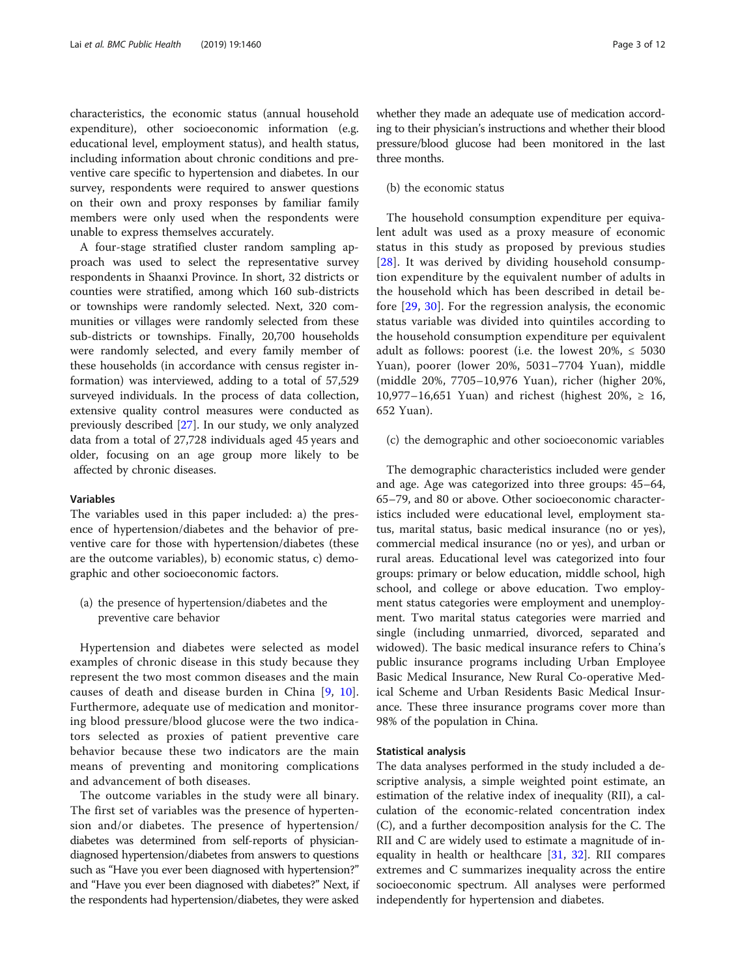characteristics, the economic status (annual household expenditure), other socioeconomic information (e.g. educational level, employment status), and health status, including information about chronic conditions and preventive care specific to hypertension and diabetes. In our survey, respondents were required to answer questions on their own and proxy responses by familiar family members were only used when the respondents were unable to express themselves accurately.

A four-stage stratified cluster random sampling approach was used to select the representative survey respondents in Shaanxi Province. In short, 32 districts or counties were stratified, among which 160 sub-districts or townships were randomly selected. Next, 320 communities or villages were randomly selected from these sub-districts or townships. Finally, 20,700 households were randomly selected, and every family member of these households (in accordance with census register information) was interviewed, adding to a total of 57,529 surveyed individuals. In the process of data collection, extensive quality control measures were conducted as previously described [\[27](#page-10-0)]. In our study, we only analyzed data from a total of 27,728 individuals aged 45 years and older, focusing on an age group more likely to be affected by chronic diseases.

#### Variables

The variables used in this paper included: a) the presence of hypertension/diabetes and the behavior of preventive care for those with hypertension/diabetes (these are the outcome variables), b) economic status, c) demographic and other socioeconomic factors.

(a) the presence of hypertension/diabetes and the preventive care behavior

Hypertension and diabetes were selected as model examples of chronic disease in this study because they represent the two most common diseases and the main causes of death and disease burden in China [[9](#page-10-0), [10](#page-10-0)]. Furthermore, adequate use of medication and monitoring blood pressure/blood glucose were the two indicators selected as proxies of patient preventive care behavior because these two indicators are the main means of preventing and monitoring complications and advancement of both diseases.

The outcome variables in the study were all binary. The first set of variables was the presence of hypertension and/or diabetes. The presence of hypertension/ diabetes was determined from self-reports of physiciandiagnosed hypertension/diabetes from answers to questions such as "Have you ever been diagnosed with hypertension?" and "Have you ever been diagnosed with diabetes?" Next, if the respondents had hypertension/diabetes, they were asked

whether they made an adequate use of medication according to their physician's instructions and whether their blood pressure/blood glucose had been monitored in the last three months.

#### (b) the economic status

The household consumption expenditure per equivalent adult was used as a proxy measure of economic status in this study as proposed by previous studies [[28](#page-10-0)]. It was derived by dividing household consumption expenditure by the equivalent number of adults in the household which has been described in detail before [[29](#page-10-0), [30\]](#page-10-0). For the regression analysis, the economic status variable was divided into quintiles according to the household consumption expenditure per equivalent adult as follows: poorest (i.e. the lowest  $20\%$ ,  $\leq 5030$ Yuan), poorer (lower 20%, 5031–7704 Yuan), middle (middle 20%, 7705–10,976 Yuan), richer (higher 20%, 10,977–16,651 Yuan) and richest (highest  $20\%$ , ≥ 16, 652 Yuan).

#### (c) the demographic and other socioeconomic variables

The demographic characteristics included were gender and age. Age was categorized into three groups: 45–64, 65–79, and 80 or above. Other socioeconomic characteristics included were educational level, employment status, marital status, basic medical insurance (no or yes), commercial medical insurance (no or yes), and urban or rural areas. Educational level was categorized into four groups: primary or below education, middle school, high school, and college or above education. Two employment status categories were employment and unemployment. Two marital status categories were married and single (including unmarried, divorced, separated and widowed). The basic medical insurance refers to China's public insurance programs including Urban Employee Basic Medical Insurance, New Rural Co-operative Medical Scheme and Urban Residents Basic Medical Insurance. These three insurance programs cover more than 98% of the population in China.

#### Statistical analysis

The data analyses performed in the study included a descriptive analysis, a simple weighted point estimate, an estimation of the relative index of inequality (RII), a calculation of the economic-related concentration index (C), and a further decomposition analysis for the C. The RII and C are widely used to estimate a magnitude of inequality in health or healthcare  $[31, 32]$  $[31, 32]$  $[31, 32]$ . RII compares extremes and C summarizes inequality across the entire socioeconomic spectrum. All analyses were performed independently for hypertension and diabetes.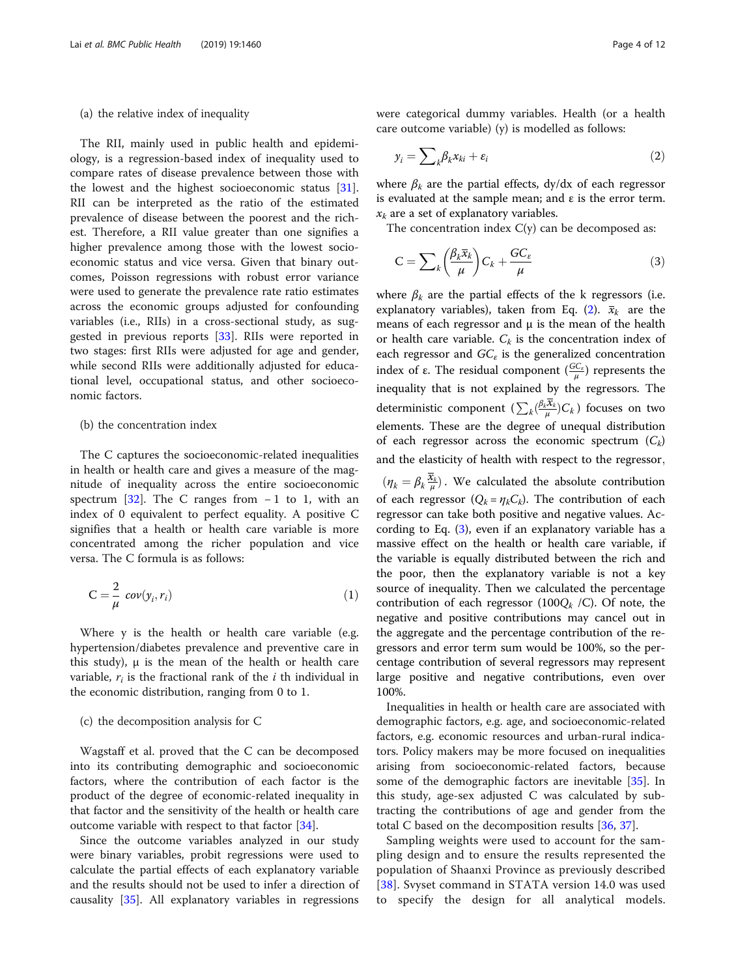#### <span id="page-3-0"></span>(a) the relative index of inequality

The RII, mainly used in public health and epidemiology, is a regression-based index of inequality used to compare rates of disease prevalence between those with the lowest and the highest socioeconomic status [\[31](#page-10-0)]. RII can be interpreted as the ratio of the estimated prevalence of disease between the poorest and the richest. Therefore, a RII value greater than one signifies a higher prevalence among those with the lowest socioeconomic status and vice versa. Given that binary outcomes, Poisson regressions with robust error variance were used to generate the prevalence rate ratio estimates across the economic groups adjusted for confounding variables (i.e., RIIs) in a cross-sectional study, as suggested in previous reports [[33\]](#page-10-0). RIIs were reported in two stages: first RIIs were adjusted for age and gender, while second RIIs were additionally adjusted for educational level, occupational status, and other socioeconomic factors.

#### (b) the concentration index

The C captures the socioeconomic-related inequalities in health or health care and gives a measure of the magnitude of inequality across the entire socioeconomic spectrum [\[32](#page-10-0)]. The C ranges from  $-1$  to 1, with an index of 0 equivalent to perfect equality. A positive C signifies that a health or health care variable is more concentrated among the richer population and vice versa. The C formula is as follows:

$$
C = \frac{2}{\mu} cov(y_i, r_i)
$$
 (1)

Where y is the health or health care variable (e.g. hypertension/diabetes prevalence and preventive care in this study),  $\mu$  is the mean of the health or health care variable,  $r_i$  is the fractional rank of the *i* th individual in the economic distribution, ranging from 0 to 1.

#### (c) the decomposition analysis for C

Wagstaff et al. proved that the C can be decomposed into its contributing demographic and socioeconomic factors, where the contribution of each factor is the product of the degree of economic-related inequality in that factor and the sensitivity of the health or health care outcome variable with respect to that factor [[34](#page-10-0)].

Since the outcome variables analyzed in our study were binary variables, probit regressions were used to calculate the partial effects of each explanatory variable and the results should not be used to infer a direction of causality [\[35](#page-10-0)]. All explanatory variables in regressions were categorical dummy variables. Health (or a health care outcome variable) (y) is modelled as follows:

$$
y_i = \sum_k \beta_k x_{ki} + \varepsilon_i \tag{2}
$$

where  $\beta_k$  are the partial effects, dy/dx of each regressor is evaluated at the sample mean; and ε is the error term.  $x_k$  are a set of explanatory variables.

The concentration index  $C(y)$  can be decomposed as:

$$
C = \sum_{k} \left( \frac{\beta_k \overline{x}_k}{\mu} \right) C_k + \frac{G C_{\varepsilon}}{\mu} \tag{3}
$$

where  $\beta_k$  are the partial effects of the k regressors (i.e. explanatory variables), taken from Eq. (2).  $\bar{x}_k$  are the means of each regressor and  $\mu$  is the mean of the health or health care variable.  $C_k$  is the concentration index of each regressor and  $GC_{\varepsilon}$  is the generalized concentration index of ε. The residual component  $(\frac{GC_{\varepsilon}}{\mu})$  represents the inequality that is not explained by the regressors. The deterministic component  $(\sum_k (\frac{\beta_k \overline{\mathbf{x}}_k}{\mu}) C_k)$  focuses on two elements. These are the degree of unequal distribution of each regressor across the economic spectrum  $(C_k)$ and the elasticity of health with respect to the regressor;

 $(\eta_k = \beta_k \frac{\bar{x}_k}{\mu})$ . We calculated the absolute contribution of each regressor  $(Q_k = \eta_k C_k)$ . The contribution of each regressor can take both positive and negative values. According to Eq.  $(3)$ , even if an explanatory variable has a massive effect on the health or health care variable, if the variable is equally distributed between the rich and the poor, then the explanatory variable is not a key source of inequality. Then we calculated the percentage contribution of each regressor (100 $Q_k$  /C). Of note, the negative and positive contributions may cancel out in the aggregate and the percentage contribution of the regressors and error term sum would be 100%, so the percentage contribution of several regressors may represent large positive and negative contributions, even over 100%.

Inequalities in health or health care are associated with demographic factors, e.g. age, and socioeconomic-related factors, e.g. economic resources and urban-rural indicators. Policy makers may be more focused on inequalities arising from socioeconomic-related factors, because some of the demographic factors are inevitable [[35](#page-10-0)]. In this study, age-sex adjusted C was calculated by subtracting the contributions of age and gender from the total C based on the decomposition results [[36,](#page-10-0) [37](#page-10-0)].

Sampling weights were used to account for the sampling design and to ensure the results represented the population of Shaanxi Province as previously described [[38](#page-10-0)]. Svyset command in STATA version 14.0 was used to specify the design for all analytical models.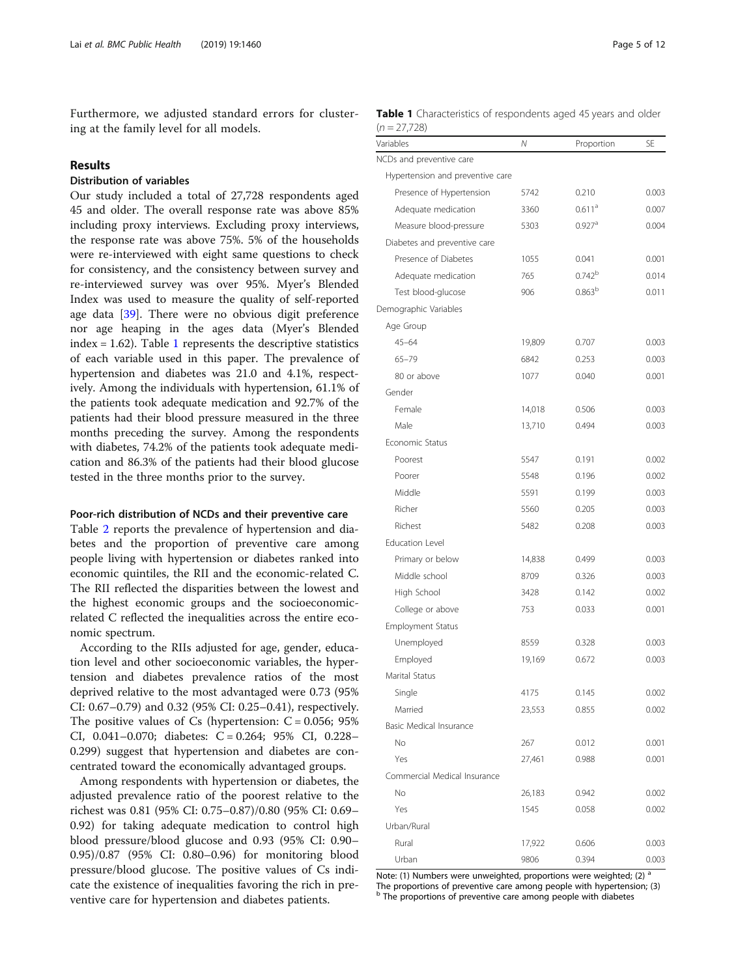Furthermore, we adjusted standard errors for clustering at the family level for all models.

#### Results

#### Distribution of variables

Our study included a total of 27,728 respondents aged 45 and older. The overall response rate was above 85% including proxy interviews. Excluding proxy interviews, the response rate was above 75%. 5% of the households were re-interviewed with eight same questions to check for consistency, and the consistency between survey and re-interviewed survey was over 95%. Myer's Blended Index was used to measure the quality of self-reported age data [\[39\]](#page-10-0). There were no obvious digit preference nor age heaping in the ages data (Myer's Blended index  $= 1.62$ ). Table 1 represents the descriptive statistics of each variable used in this paper. The prevalence of hypertension and diabetes was 21.0 and 4.1%, respectively. Among the individuals with hypertension, 61.1% of the patients took adequate medication and 92.7% of the patients had their blood pressure measured in the three months preceding the survey. Among the respondents with diabetes, 74.2% of the patients took adequate medication and 86.3% of the patients had their blood glucose tested in the three months prior to the survey.

#### Poor-rich distribution of NCDs and their preventive care

Table [2](#page-5-0) reports the prevalence of hypertension and diabetes and the proportion of preventive care among people living with hypertension or diabetes ranked into economic quintiles, the RII and the economic-related C. The RII reflected the disparities between the lowest and the highest economic groups and the socioeconomicrelated C reflected the inequalities across the entire economic spectrum.

According to the RIIs adjusted for age, gender, education level and other socioeconomic variables, the hypertension and diabetes prevalence ratios of the most deprived relative to the most advantaged were 0.73 (95% CI: 0.67–0.79) and 0.32 (95% CI: 0.25–0.41), respectively. The positive values of Cs (hypertension:  $C = 0.056$ ; 95% CI, 0.041-0.070; diabetes: C = 0.264; 95% CI, 0.228-0.299) suggest that hypertension and diabetes are concentrated toward the economically advantaged groups.

Among respondents with hypertension or diabetes, the adjusted prevalence ratio of the poorest relative to the richest was 0.81 (95% CI: 0.75–0.87)/0.80 (95% CI: 0.69– 0.92) for taking adequate medication to control high blood pressure/blood glucose and 0.93 (95% CI: 0.90– 0.95)/0.87 (95% CI: 0.80–0.96) for monitoring blood pressure/blood glucose. The positive values of Cs indicate the existence of inequalities favoring the rich in preventive care for hypertension and diabetes patients.

|                | <b>Table 1</b> Characteristics of respondents aged 45 years and older |  |  |  |
|----------------|-----------------------------------------------------------------------|--|--|--|
| $(n = 27,728)$ |                                                                       |  |  |  |

| Variables                        | Ν      | Proportion           | SE    |
|----------------------------------|--------|----------------------|-------|
| NCDs and preventive care         |        |                      |       |
| Hypertension and preventive care |        |                      |       |
| Presence of Hypertension         | 5742   | 0.210                | 0.003 |
| Adequate medication              | 3360   | $0.611$ <sup>a</sup> | 0.007 |
| Measure blood-pressure           | 5303   | $0.927$ <sup>a</sup> | 0.004 |
| Diabetes and preventive care     |        |                      |       |
| Presence of Diabetes             | 1055   | 0.041                | 0.001 |
| Adequate medication              | 765    | 0.742 <sup>b</sup>   | 0.014 |
| Test blood-glucose               | 906    | 0.863 <sup>b</sup>   | 0.011 |
| Demographic Variables            |        |                      |       |
| Age Group                        |        |                      |       |
| $45 - 64$                        | 19,809 | 0.707                | 0.003 |
| $65 - 79$                        | 6842   | 0.253                | 0.003 |
| 80 or above                      | 1077   | 0.040                | 0.001 |
| Gender                           |        |                      |       |
| Female                           | 14,018 | 0.506                | 0.003 |
| Male                             | 13,710 | 0.494                | 0.003 |
| Economic Status                  |        |                      |       |
| Poorest                          | 5547   | 0.191                | 0.002 |
| Poorer                           | 5548   | 0.196                | 0.002 |
| Middle                           | 5591   | 0.199                | 0.003 |
| Richer                           | 5560   | 0.205                | 0.003 |
| Richest                          | 5482   | 0.208                | 0.003 |
| <b>Education Level</b>           |        |                      |       |
| Primary or below                 | 14,838 | 0.499                | 0.003 |
| Middle school                    | 8709   | 0.326                | 0.003 |
| High School                      | 3428   | 0.142                | 0.002 |
| College or above                 | 753    | 0.033                | 0.001 |
| <b>Employment Status</b>         |        |                      |       |
| Unemployed                       | 8559   | 0.328                | 0.003 |
| Employed                         | 19,169 | 0.672                | 0.003 |
| Marital Status                   |        |                      |       |
| Single                           | 4175   | 0.145                | 0.002 |
| Married                          | 23,553 | 0.855                | 0.002 |
| Basic Medical Insurance          |        |                      |       |
| No                               | 267    | 0.012                | 0.001 |
| Yes                              | 27,461 | 0.988                | 0.001 |
| Commercial Medical Insurance     |        |                      |       |
| No                               | 26,183 | 0.942                | 0.002 |
| Yes                              | 1545   | 0.058                | 0.002 |
| Urban/Rural                      |        |                      |       |
| Rural                            | 17,922 | 0.606                | 0.003 |
| Urban                            | 9806   | 0.394                | 0.003 |

Note: (1) Numbers were unweighted, proportions were weighted; (2) a The proportions of preventive care among people with hypertension; (3) The proportions of preventive care among people with diabetes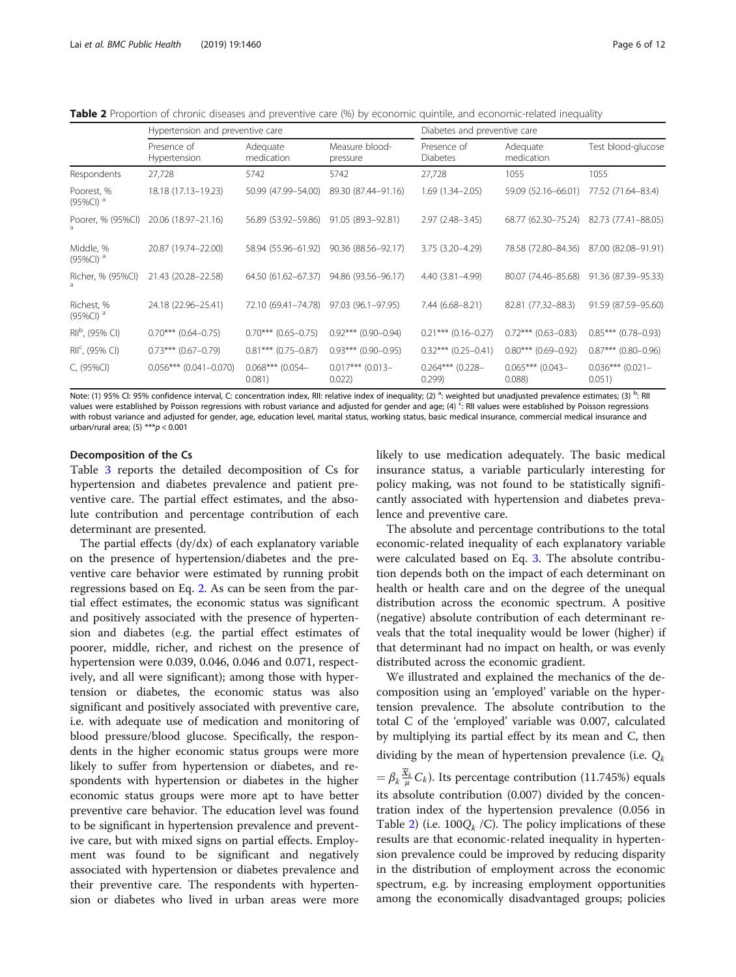<span id="page-5-0"></span>Table 2 Proportion of chronic diseases and preventive care (%) by economic quintile, and economic-related inequality

|                                       | Hypertension and preventive care |                              |                              | Diabetes and preventive care   |                             |                              |
|---------------------------------------|----------------------------------|------------------------------|------------------------------|--------------------------------|-----------------------------|------------------------------|
|                                       | Presence of<br>Hypertension      | Adequate<br>medication       | Measure blood-<br>pressure   | Presence of<br><b>Diabetes</b> | Adequate<br>medication      | Test blood-glucose           |
| Respondents                           | 27,728                           | 5742                         | 5742                         | 27,728                         | 1055                        | 1055                         |
| Poorest, %<br>$(95\%CI)$ <sup>a</sup> | 18.18 (17.13-19.23)              | 50.99 (47.99-54.00)          | 89.30 (87.44-91.16)          | $1.69(1.34 - 2.05)$            | 59.09 (52.16-66.01)         | 77.52 (71.64-83.4)           |
| Poorer, % (95%CI)                     | 20.06 (18.97-21.16)              | 56.89 (53.92-59.86)          | 91.05 (89.3-92.81)           | $2.97(2.48 - 3.45)$            | 68.77 (62.30-75.24)         | 82.73 (77.41-88.05)          |
| Middle, %<br>$(95\%CI)$ <sup>d</sup>  | 20.87 (19.74-22.00)              | 58.94 (55.96-61.92)          | 90.36 (88.56-92.17)          | 3.75 (3.20-4.29)               | 78.58 (72.80-84.36)         | 87.00 (82.08-91.91)          |
| Richer, % (95%Cl)                     | 21.43 (20.28-22.58)              | 64.50 (61.62-67.37)          | 94.86 (93.56-96.17)          | 4.40 (3.81-4.99)               | 80.07 (74.46-85.68)         | 91.36 (87.39 - 95.33)        |
| Richest, %<br>$(95\%CI)$ <sup>a</sup> | 24.18 (22.96-25.41)              | 72.10 (69.41-74.78)          | 97.03 (96.1-97.95)           | 7.44 (6.68-8.21)               | 82.81 (77.32-88.3)          | 91.59 (87.59-95.60)          |
| RII <sup>b</sup> , (95% CI)           | $0.70***$ (0.64-0.75)            | $0.70***$ (0.65-0.75)        | $0.92***$ (0.90-0.94)        | $0.21***$ (0.16-0.27)          | $0.72***$ (0.63-0.83)       | $0.85***$ (0.78-0.93)        |
| RII <sup>c</sup> , (95% CI)           | $0.73***$ (0.67-0.79)            | $0.81***$ (0.75-0.87)        | $0.93***$ (0.90-0.95)        | $0.32***$ (0.25-0.41)          | $0.80***$ (0.69-0.92)       | $0.87***$ (0.80-0.96)        |
| $C, (95\%Cl)$                         | $0.056***$ (0.041-0.070)         | $0.068***$ (0.054-<br>0.081) | $0.017***$ (0.013-<br>0.022) | $0.264***$ (0.228-<br>0.299    | $0.065***$ (0.043-<br>0.088 | $0.036***$ (0.021-<br>0.051) |

Note: (1) 95% Cl: 95% confidence interval, C: concentration index, RII: relative index of inequality; (2)  $^3$ : weighted but unadjusted prevalence estimates; (3)  $^{\rm b}$ : RI values were established by Poisson regressions with robust variance and adjusted for gender and age; (4)<sup>c</sup>: RII values were established by Poisson regressions with robust variance and adjusted for gender, age, education level, marital status, working status, basic medical insurance, commercial medical insurance and urban/rural area; (5) \*\*\* $p < 0.001$ 

#### Decomposition of the Cs

Table [3](#page-6-0) reports the detailed decomposition of Cs for hypertension and diabetes prevalence and patient preventive care. The partial effect estimates, and the absolute contribution and percentage contribution of each determinant are presented.

The partial effects (dy/dx) of each explanatory variable on the presence of hypertension/diabetes and the preventive care behavior were estimated by running probit regressions based on Eq. [2](#page-3-0). As can be seen from the partial effect estimates, the economic status was significant and positively associated with the presence of hypertension and diabetes (e.g. the partial effect estimates of poorer, middle, richer, and richest on the presence of hypertension were 0.039, 0.046, 0.046 and 0.071, respectively, and all were significant); among those with hypertension or diabetes, the economic status was also significant and positively associated with preventive care, i.e. with adequate use of medication and monitoring of blood pressure/blood glucose. Specifically, the respondents in the higher economic status groups were more likely to suffer from hypertension or diabetes, and respondents with hypertension or diabetes in the higher economic status groups were more apt to have better preventive care behavior. The education level was found to be significant in hypertension prevalence and preventive care, but with mixed signs on partial effects. Employment was found to be significant and negatively associated with hypertension or diabetes prevalence and their preventive care. The respondents with hypertension or diabetes who lived in urban areas were more likely to use medication adequately. The basic medical insurance status, a variable particularly interesting for policy making, was not found to be statistically significantly associated with hypertension and diabetes prevalence and preventive care.

The absolute and percentage contributions to the total economic-related inequality of each explanatory variable were calculated based on Eq. [3](#page-3-0). The absolute contribution depends both on the impact of each determinant on health or health care and on the degree of the unequal distribution across the economic spectrum. A positive (negative) absolute contribution of each determinant reveals that the total inequality would be lower (higher) if that determinant had no impact on health, or was evenly distributed across the economic gradient.

We illustrated and explained the mechanics of the decomposition using an 'employed' variable on the hypertension prevalence. The absolute contribution to the total C of the 'employed' variable was 0.007, calculated by multiplying its partial effect by its mean and C, then dividing by the mean of hypertension prevalence (i.e.  $Q_k$  $= \beta_k \frac{\overline{x}_k}{\mu} C_k$ ). Its percentage contribution (11.745%) equals its absolute contribution (0.007) divided by the concentration index of the hypertension prevalence (0.056 in Table 2) (i.e. 100 $Q_k$  /C). The policy implications of these results are that economic-related inequality in hypertension prevalence could be improved by reducing disparity in the distribution of employment across the economic spectrum, e.g. by increasing employment opportunities among the economically disadvantaged groups; policies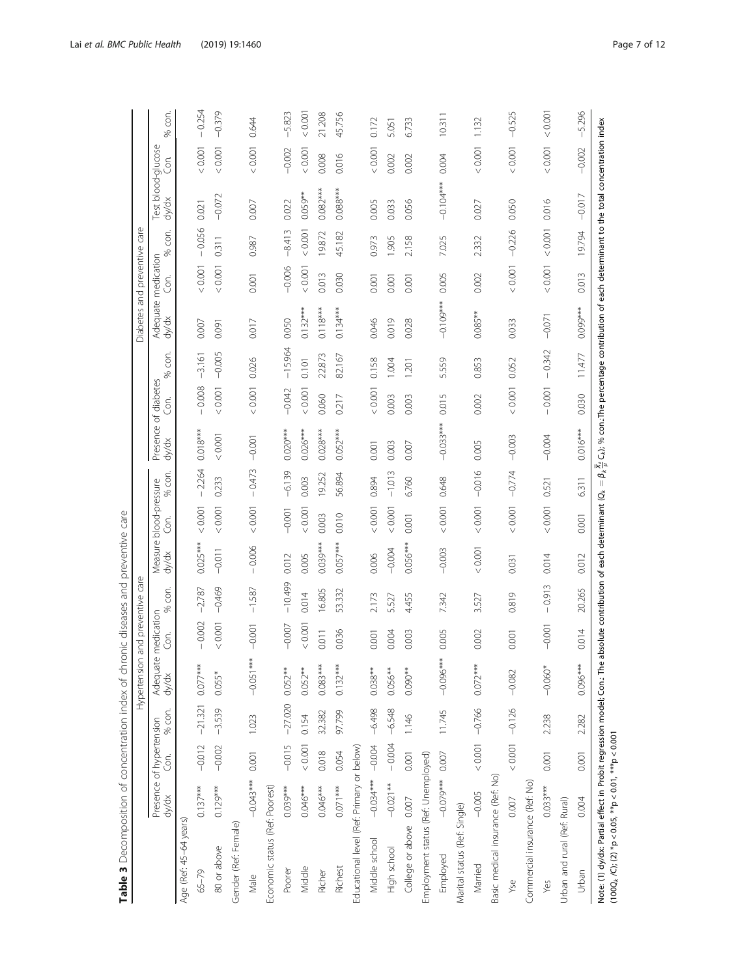<span id="page-6-0"></span>

|                                                                                                                                    |                                   |                   |                   | Hypertension        |                  | and preventive care |                                 |          |          |                                                                                                                                                                         |          |            | Diabetes and preventive care |          |            |                             |          |            |
|------------------------------------------------------------------------------------------------------------------------------------|-----------------------------------|-------------------|-------------------|---------------------|------------------|---------------------|---------------------------------|----------|----------|-------------------------------------------------------------------------------------------------------------------------------------------------------------------------|----------|------------|------------------------------|----------|------------|-----------------------------|----------|------------|
|                                                                                                                                    | Presence of hypertension<br>dy/dx | Ğ.                | % con.            | Adequate i<br>dy/dx | medication<br>Ġ. | con.<br>%           | Measure blood-pressure<br>dy/dx | Con.     | % con.   | Presence of diabetes<br>dy/dx                                                                                                                                           | Cor.     | con.<br>S6 | Adequate medication<br>dy/dx | Cor.     | con.<br>S6 | Test blood-glucose<br>dy/dx | cor.     | con.<br>S, |
| Age (Ref. 45-64 years)                                                                                                             |                                   |                   |                   |                     |                  |                     |                                 |          |          |                                                                                                                                                                         |          |            |                              |          |            |                             |          |            |
| 65-79                                                                                                                              | $0.137***$                        | $-0.012$          | $-21.321$         | $0.077***$          | 0.002            | $-2.787$            | $0.025***$                      | < 0.001  | $-2.264$ | $0.018***$                                                                                                                                                              | $-0.008$ | $-3.161$   | 0.007                        | 0.001    | $-0.056$   | 0.021                       | 0.0001   | $-0.254$   |
| 80 or above                                                                                                                        | $0.129***$                        | $-0.002$          | $-3.539$          | $0.055*$            | < 0.001          | $-0.469$            | $-0.011$                        | < 0.001  | 0.233    | 0.0001                                                                                                                                                                  | < 0.001  | $-0.005$   | 0.091                        | 0.001    | 0.311      | $-0.072$                    | 0.001    | $-0.379$   |
| Gender (Ref: Female)                                                                                                               |                                   |                   |                   |                     |                  |                     |                                 |          |          |                                                                                                                                                                         |          |            |                              |          |            |                             |          |            |
| Male                                                                                                                               | $-0.043***$                       | 0.001             | 1.023             | $-0.051***$         | $-0.001$         | $-1.587$            | $-0.006$                        | 0.001    | $-0.473$ | $-0.001$                                                                                                                                                                | < 0.001  | 0.026      | 0.017                        | 0.001    | 0.987      | 0.007                       | < 0.001  | 0.644      |
| Economic status (Ref. Poorest)                                                                                                     |                                   |                   |                   |                     |                  |                     |                                 |          |          |                                                                                                                                                                         |          |            |                              |          |            |                             |          |            |
| Poorer                                                                                                                             | $0.039***$                        | $-0.015$          | $-27.020$ 0.052** |                     | $-0.007$         | $-10.499$           | 0.012                           | $-0.001$ | $-6.139$ | $0.020***$                                                                                                                                                              | $-0.042$ | $-15.964$  | 0.050                        | $-0.006$ | $-8.413$   | 0.022                       | $-0.002$ | $-5.823$   |
| Middle                                                                                                                             | $0.046***$                        | 0.001             | 0.154             | $0.052**$           | 0.001            | 0.014               | 0.005                           | 0.001    | 0.003    | $0.026***$                                                                                                                                                              | 0.001    | 0.101      | $0.132***$                   | 0.001    | 0.001      | $0.059**$                   | < 0.001  | 0.001      |
| Richer                                                                                                                             | $0.046***$                        | 0.018             | 32.382            | $0.083***$          | 0.011            | 16.805              | $0.039***$                      | 0.003    | 19.252   | $0.028***$                                                                                                                                                              | 0.060    | 22.873     | $0.118***$                   | 0.013    | 19.872     | $0.082***$                  | 0.008    | 21.208     |
| Richest                                                                                                                            | $0.071***$                        | 0.054             | 97.799            | $0.132***$          | 0.036            | 53.332              | $0.057***$                      | 0.010    | 56.894   | $0.052***$                                                                                                                                                              | 0.217    | 82.167     | $0.134***$                   | 0.030    | 45.182     | $0.088***$                  | 0.016    | 45.756     |
| Educational level (Ref: Primary or below)                                                                                          |                                   |                   |                   |                     |                  |                     |                                 |          |          |                                                                                                                                                                         |          |            |                              |          |            |                             |          |            |
| Middle school                                                                                                                      | $-0.034*** -0.004$                |                   | $-6.498$          | $0.038**$           | 0.001            | 2.173               | 0.006                           | 0.001    | 0.894    | 0.001                                                                                                                                                                   | < 0.001  | 0.158      | 0.046                        | 0.001    | 0.973      | 0.005                       | < 0.001  | 0.172      |
| High school                                                                                                                        | $-0.021**$                        | $-0.004$          | $-6.548$          | $0.056**$           | 0.004            | 5.527               | $-0.004$                        | < 0.001  | $-1.013$ | 0.003                                                                                                                                                                   | 0.003    | 1.004      | 0.019                        | 0.001    | 1.905      | 0.033                       | 0.002    | 5.051      |
| College or above                                                                                                                   | 0.007                             | 0.001             | 1.146             | $0.090**$           | 0.003            | 4.455               | $0.056***$                      | 0.001    | 6.760    | 0.007                                                                                                                                                                   | 0.003    | 1.201      | 0.028                        | 0.001    | 2.158      | 0.056                       | 0.002    | 6.733      |
| Employment status (Ref: Unemployed)                                                                                                |                                   |                   |                   |                     |                  |                     |                                 |          |          |                                                                                                                                                                         |          |            |                              |          |            |                             |          |            |
| Employed                                                                                                                           | $-0.079***$                       | $0.007$           | 11.745            | $-0.096***$         | 0.005            | 7.342               | $-0.003$                        | < 0.001  | 0.648    | $-0.033***$                                                                                                                                                             | 0.015    | 5.559      | $-0.109***$                  | 0.005    | 7.025      | $-0.104***$                 | 0.004    | 10.311     |
| Marital status (Ref: Single)                                                                                                       |                                   |                   |                   |                     |                  |                     |                                 |          |          |                                                                                                                                                                         |          |            |                              |          |            |                             |          |            |
| Married                                                                                                                            | $-0.005$                          | $< 0.001 - 0.766$ |                   | $0.072***$          | 0.002            | 3.527               | < 0.001                         | < 0.001  | $-0.016$ | 0.005                                                                                                                                                                   | 0.002    | 0.853      | $0.085***$                   | 0.002    | 2.332      | 0.027                       | < 0.001  | 1.132      |
| Basic medical insurance (Ref: No)                                                                                                  |                                   |                   |                   |                     |                  |                     |                                 |          |          |                                                                                                                                                                         |          |            |                              |          |            |                             |          |            |
| Y <sub>Se</sub>                                                                                                                    | 0.007                             |                   | $0.001 - 0.126$   | $-0.082$            | 0.001            | 0.819               | 0.031                           | $<0.001$ | $-0.774$ | $-0.003$                                                                                                                                                                | < 0.001  | 0.052      | 0.033                        | $<0.001$ | $-0.226$   | 0.050                       | 0.001    | $-0.525$   |
| Commercial insurance (Ref: No)                                                                                                     |                                   |                   |                   |                     |                  |                     |                                 |          |          |                                                                                                                                                                         |          |            |                              |          |            |                             |          |            |
| Yes                                                                                                                                | $0.033***$                        | 0.001             | 2.238             | $-0.060*$           | $-0.001$         | $-0.913$            | 0.014                           | < 0.001  | 0.521    | $-0.004$                                                                                                                                                                | $-0.001$ | $-0.342$   | $-0.071$                     | 0.001    | 0.001      | 0.016                       | < 0.001  | 10000      |
| Urban and rural (Ref: Rural)                                                                                                       |                                   |                   |                   |                     |                  |                     |                                 |          |          |                                                                                                                                                                         |          |            |                              |          |            |                             |          |            |
| Urban                                                                                                                              | 0.004                             | 0.001             | 2.282             | $0.096***$          | 0.014            | 20.265              | 0.012                           | 0.001    | 6.311    | $0.016***$                                                                                                                                                              | 0.030    | 11.477     | $0.099***$                   | 0.013    | 19.794     | $-0.017$                    | $-0.002$ | $-5.296$   |
| Note: (1) dy/dx: Partial effect in Probit regression model; Con.: The a<br>$(100Q_k/C); (2) * p < 0.05, ** p < 0.01, ** p < 0.001$ |                                   |                   |                   |                     |                  |                     |                                 |          |          | bsolute contribution of each determinant ( $Q_k = \beta_k \frac{X_k}{t} C_k$ ); % con. The percentage contribution of each determinant to the total concentration index |          |            |                              |          |            |                             |          |            |

Table 3 Decomposition of concentration index of chronic diseases and preventive care Table 3 Decomposition of concentration index of chronic diseases and preventive care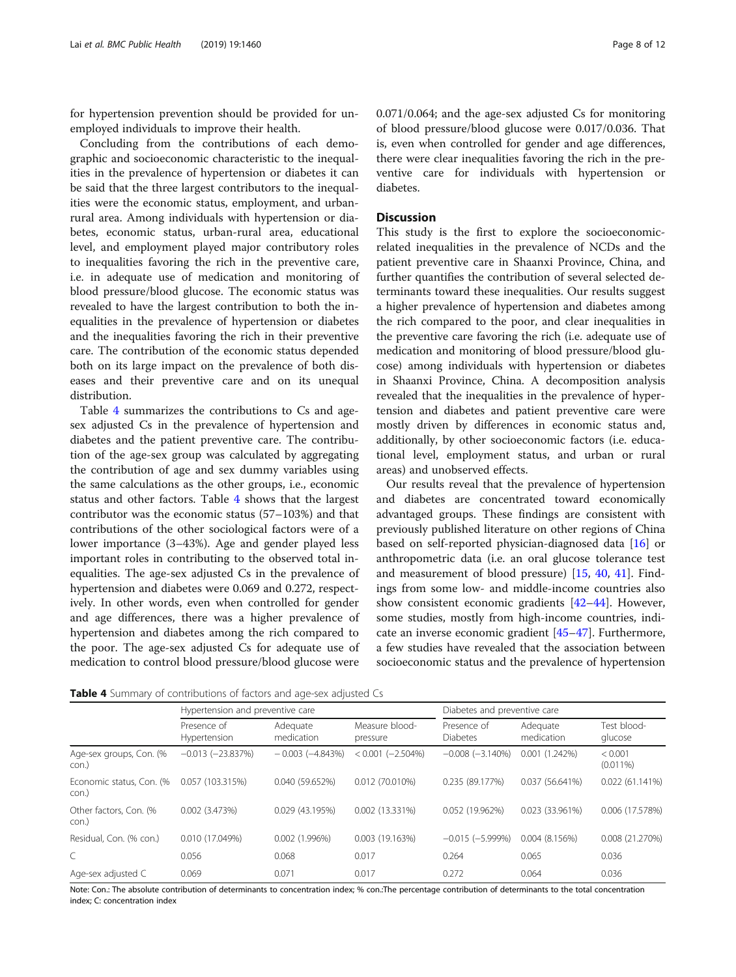for hypertension prevention should be provided for unemployed individuals to improve their health.

Concluding from the contributions of each demographic and socioeconomic characteristic to the inequalities in the prevalence of hypertension or diabetes it can be said that the three largest contributors to the inequalities were the economic status, employment, and urbanrural area. Among individuals with hypertension or diabetes, economic status, urban-rural area, educational level, and employment played major contributory roles to inequalities favoring the rich in the preventive care, i.e. in adequate use of medication and monitoring of blood pressure/blood glucose. The economic status was revealed to have the largest contribution to both the inequalities in the prevalence of hypertension or diabetes and the inequalities favoring the rich in their preventive care. The contribution of the economic status depended both on its large impact on the prevalence of both diseases and their preventive care and on its unequal distribution.

Table 4 summarizes the contributions to Cs and agesex adjusted Cs in the prevalence of hypertension and diabetes and the patient preventive care. The contribution of the age-sex group was calculated by aggregating the contribution of age and sex dummy variables using the same calculations as the other groups, i.e., economic status and other factors. Table 4 shows that the largest contributor was the economic status (57–103%) and that contributions of the other sociological factors were of a lower importance (3–43%). Age and gender played less important roles in contributing to the observed total inequalities. The age-sex adjusted Cs in the prevalence of hypertension and diabetes were 0.069 and 0.272, respectively. In other words, even when controlled for gender and age differences, there was a higher prevalence of hypertension and diabetes among the rich compared to the poor. The age-sex adjusted Cs for adequate use of medication to control blood pressure/blood glucose were

0.071/0.064; and the age-sex adjusted Cs for monitoring of blood pressure/blood glucose were 0.017/0.036. That is, even when controlled for gender and age differences, there were clear inequalities favoring the rich in the preventive care for individuals with hypertension or diabetes.

#### Discussion

This study is the first to explore the socioeconomicrelated inequalities in the prevalence of NCDs and the patient preventive care in Shaanxi Province, China, and further quantifies the contribution of several selected determinants toward these inequalities. Our results suggest a higher prevalence of hypertension and diabetes among the rich compared to the poor, and clear inequalities in the preventive care favoring the rich (i.e. adequate use of medication and monitoring of blood pressure/blood glucose) among individuals with hypertension or diabetes in Shaanxi Province, China. A decomposition analysis revealed that the inequalities in the prevalence of hypertension and diabetes and patient preventive care were mostly driven by differences in economic status and, additionally, by other socioeconomic factors (i.e. educational level, employment status, and urban or rural areas) and unobserved effects.

Our results reveal that the prevalence of hypertension and diabetes are concentrated toward economically advantaged groups. These findings are consistent with previously published literature on other regions of China based on self-reported physician-diagnosed data [[16\]](#page-10-0) or anthropometric data (i.e. an oral glucose tolerance test and measurement of blood pressure) [\[15,](#page-10-0) [40,](#page-10-0) [41\]](#page-10-0). Findings from some low- and middle-income countries also show consistent economic gradients [[42](#page-10-0)–[44](#page-10-0)]. However, some studies, mostly from high-income countries, indicate an inverse economic gradient [[45](#page-10-0)–[47](#page-10-0)]. Furthermore, a few studies have revealed that the association between socioeconomic status and the prevalence of hypertension

Table 4 Summary of contributions of factors and age-sex adjusted Cs

|                                   | Hypertension and preventive care |                        |                            | Diabetes and preventive care |                        |                        |
|-----------------------------------|----------------------------------|------------------------|----------------------------|------------------------------|------------------------|------------------------|
|                                   | Presence of<br>Hypertension      | Adequate<br>medication | Measure blood-<br>pressure | Presence of<br>Diabetes      | Adequate<br>medication | Test blood-<br>glucose |
| Age-sex groups, Con. (%<br>con.)  | $-0.013(-23.837%)$               | $-0.003(-4.843%)$      | $< 0.001 (-2.504\%)$       | $-0.008$ $(-3.140\%)$        | 0.001(1.242%)          | < 0.001<br>$(0.011\%)$ |
| Economic status, Con. (%<br>con.) | 0.057 (103.315%)                 | 0.040 (59.652%)        | 0.012 (70.010%)            | 0.235 (89.177%)              | 0.037 (56.641%)        | 0.022(61.141%)         |
| Other factors, Con. (%<br>con.)   | 0.002(3.473%)                    | 0.029(43.195%)         | 0.002 (13.331%)            | 0.052 (19.962%)              | 0.023 (33.961%)        | 0.006 (17.578%)        |
| Residual, Con. (% con.)           | 0.010 (17.049%)                  | 0.002(1.996%)          | 0.003 (19.163%)            | $-0.015(-5.999%)$            | 0.004(8.156%)          | 0.008 (21.270%)        |
| C                                 | 0.056                            | 0.068                  | 0.017                      | 0.264                        | 0.065                  | 0.036                  |
| Age-sex adjusted C                | 0.069                            | 0.071                  | 0.017                      | 0.272                        | 0.064                  | 0.036                  |

Note: Con.: The absolute contribution of determinants to concentration index; % con.:The percentage contribution of determinants to the total concentration index; C: concentration index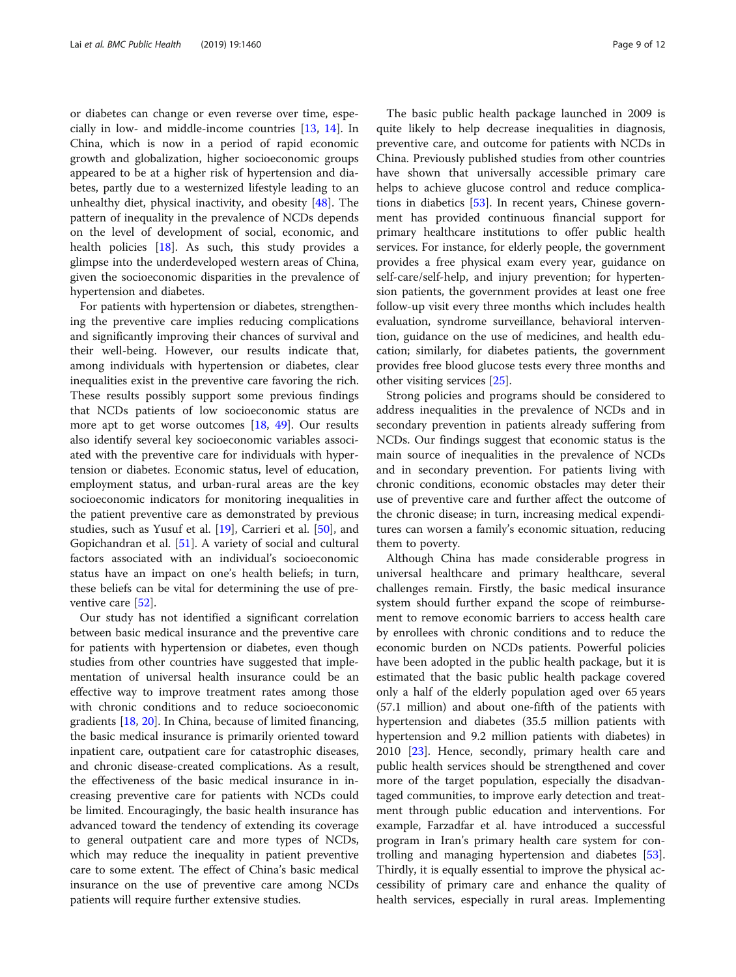or diabetes can change or even reverse over time, especially in low- and middle-income countries [\[13](#page-10-0), [14](#page-10-0)]. In China, which is now in a period of rapid economic growth and globalization, higher socioeconomic groups appeared to be at a higher risk of hypertension and diabetes, partly due to a westernized lifestyle leading to an unhealthy diet, physical inactivity, and obesity [\[48](#page-10-0)]. The pattern of inequality in the prevalence of NCDs depends on the level of development of social, economic, and health policies [[18\]](#page-10-0). As such, this study provides a glimpse into the underdeveloped western areas of China, given the socioeconomic disparities in the prevalence of hypertension and diabetes.

For patients with hypertension or diabetes, strengthening the preventive care implies reducing complications and significantly improving their chances of survival and their well-being. However, our results indicate that, among individuals with hypertension or diabetes, clear inequalities exist in the preventive care favoring the rich. These results possibly support some previous findings that NCDs patients of low socioeconomic status are more apt to get worse outcomes [\[18,](#page-10-0) [49](#page-10-0)]. Our results also identify several key socioeconomic variables associated with the preventive care for individuals with hypertension or diabetes. Economic status, level of education, employment status, and urban-rural areas are the key socioeconomic indicators for monitoring inequalities in the patient preventive care as demonstrated by previous studies, such as Yusuf et al. [\[19](#page-10-0)], Carrieri et al. [\[50\]](#page-11-0), and Gopichandran et al. [[51](#page-11-0)]. A variety of social and cultural factors associated with an individual's socioeconomic status have an impact on one's health beliefs; in turn, these beliefs can be vital for determining the use of preventive care [[52](#page-11-0)].

Our study has not identified a significant correlation between basic medical insurance and the preventive care for patients with hypertension or diabetes, even though studies from other countries have suggested that implementation of universal health insurance could be an effective way to improve treatment rates among those with chronic conditions and to reduce socioeconomic gradients [\[18,](#page-10-0) [20\]](#page-10-0). In China, because of limited financing, the basic medical insurance is primarily oriented toward inpatient care, outpatient care for catastrophic diseases, and chronic disease-created complications. As a result, the effectiveness of the basic medical insurance in increasing preventive care for patients with NCDs could be limited. Encouragingly, the basic health insurance has advanced toward the tendency of extending its coverage to general outpatient care and more types of NCDs, which may reduce the inequality in patient preventive care to some extent. The effect of China's basic medical insurance on the use of preventive care among NCDs patients will require further extensive studies.

The basic public health package launched in 2009 is quite likely to help decrease inequalities in diagnosis, preventive care, and outcome for patients with NCDs in China. Previously published studies from other countries have shown that universally accessible primary care helps to achieve glucose control and reduce complications in diabetics [\[53\]](#page-11-0). In recent years, Chinese government has provided continuous financial support for primary healthcare institutions to offer public health services. For instance, for elderly people, the government provides a free physical exam every year, guidance on self-care/self-help, and injury prevention; for hypertension patients, the government provides at least one free follow-up visit every three months which includes health evaluation, syndrome surveillance, behavioral intervention, guidance on the use of medicines, and health education; similarly, for diabetes patients, the government provides free blood glucose tests every three months and other visiting services [\[25\]](#page-10-0).

Strong policies and programs should be considered to address inequalities in the prevalence of NCDs and in secondary prevention in patients already suffering from NCDs. Our findings suggest that economic status is the main source of inequalities in the prevalence of NCDs and in secondary prevention. For patients living with chronic conditions, economic obstacles may deter their use of preventive care and further affect the outcome of the chronic disease; in turn, increasing medical expenditures can worsen a family's economic situation, reducing them to poverty.

Although China has made considerable progress in universal healthcare and primary healthcare, several challenges remain. Firstly, the basic medical insurance system should further expand the scope of reimbursement to remove economic barriers to access health care by enrollees with chronic conditions and to reduce the economic burden on NCDs patients. Powerful policies have been adopted in the public health package, but it is estimated that the basic public health package covered only a half of the elderly population aged over 65 years (57.1 million) and about one-fifth of the patients with hypertension and diabetes (35.5 million patients with hypertension and 9.2 million patients with diabetes) in 2010 [\[23](#page-10-0)]. Hence, secondly, primary health care and public health services should be strengthened and cover more of the target population, especially the disadvantaged communities, to improve early detection and treatment through public education and interventions. For example, Farzadfar et al. have introduced a successful program in Iran's primary health care system for controlling and managing hypertension and diabetes [\[53](#page-11-0)]. Thirdly, it is equally essential to improve the physical accessibility of primary care and enhance the quality of health services, especially in rural areas. Implementing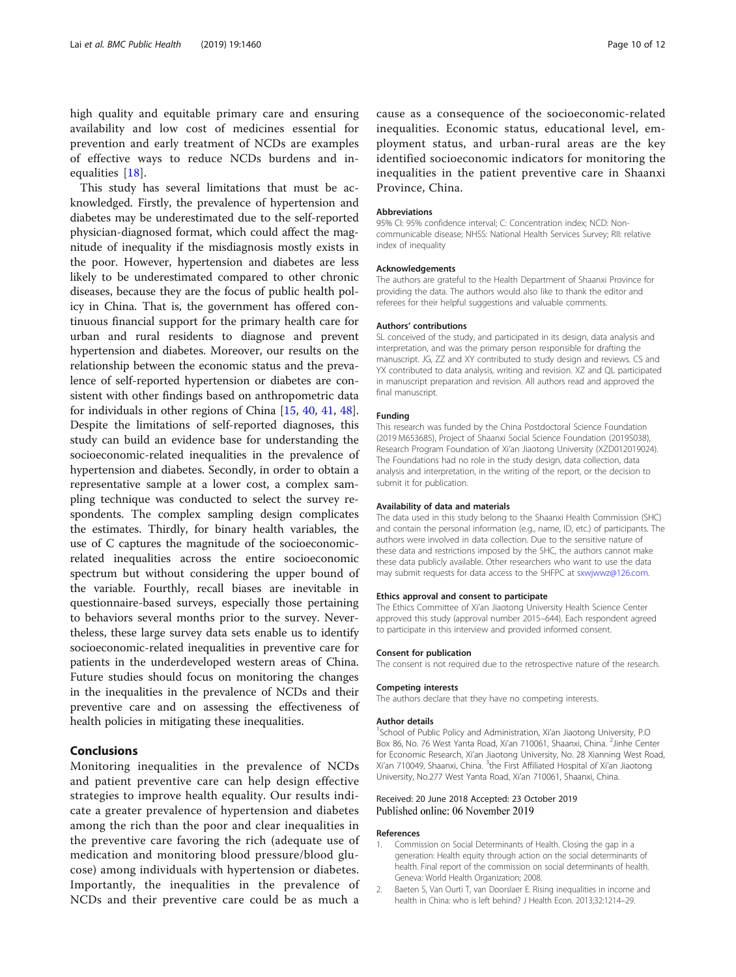<span id="page-9-0"></span>high quality and equitable primary care and ensuring availability and low cost of medicines essential for prevention and early treatment of NCDs are examples of effective ways to reduce NCDs burdens and inequalities [[18](#page-10-0)].

This study has several limitations that must be acknowledged. Firstly, the prevalence of hypertension and diabetes may be underestimated due to the self-reported physician-diagnosed format, which could affect the magnitude of inequality if the misdiagnosis mostly exists in the poor. However, hypertension and diabetes are less likely to be underestimated compared to other chronic diseases, because they are the focus of public health policy in China. That is, the government has offered continuous financial support for the primary health care for urban and rural residents to diagnose and prevent hypertension and diabetes. Moreover, our results on the relationship between the economic status and the prevalence of self-reported hypertension or diabetes are consistent with other findings based on anthropometric data for individuals in other regions of China [[15,](#page-10-0) [40,](#page-10-0) [41](#page-10-0), [48](#page-10-0)]. Despite the limitations of self-reported diagnoses, this study can build an evidence base for understanding the socioeconomic-related inequalities in the prevalence of hypertension and diabetes. Secondly, in order to obtain a representative sample at a lower cost, a complex sampling technique was conducted to select the survey respondents. The complex sampling design complicates the estimates. Thirdly, for binary health variables, the use of C captures the magnitude of the socioeconomicrelated inequalities across the entire socioeconomic spectrum but without considering the upper bound of the variable. Fourthly, recall biases are inevitable in questionnaire-based surveys, especially those pertaining to behaviors several months prior to the survey. Nevertheless, these large survey data sets enable us to identify socioeconomic-related inequalities in preventive care for patients in the underdeveloped western areas of China. Future studies should focus on monitoring the changes in the inequalities in the prevalence of NCDs and their preventive care and on assessing the effectiveness of health policies in mitigating these inequalities.

#### Conclusions

Monitoring inequalities in the prevalence of NCDs and patient preventive care can help design effective strategies to improve health equality. Our results indicate a greater prevalence of hypertension and diabetes among the rich than the poor and clear inequalities in the preventive care favoring the rich (adequate use of medication and monitoring blood pressure/blood glucose) among individuals with hypertension or diabetes. Importantly, the inequalities in the prevalence of NCDs and their preventive care could be as much a

cause as a consequence of the socioeconomic-related inequalities. Economic status, educational level, employment status, and urban-rural areas are the key identified socioeconomic indicators for monitoring the inequalities in the patient preventive care in Shaanxi Province, China.

#### Abbreviations

95% CI: 95% confidence interval; C: Concentration index; NCD: Noncommunicable disease; NHSS: National Health Services Survey; RII: relative index of inequality

#### Acknowledgements

The authors are grateful to the Health Department of Shaanxi Province for providing the data. The authors would also like to thank the editor and referees for their helpful suggestions and valuable comments.

#### Authors' contributions

SL conceived of the study, and participated in its design, data analysis and interpretation, and was the primary person responsible for drafting the manuscript. JG, ZZ and XY contributed to study design and reviews. CS and YX contributed to data analysis, writing and revision. XZ and QL participated in manuscript preparation and revision. All authors read and approved the final manuscript.

#### Funding

This research was funded by the China Postdoctoral Science Foundation (2019 M653685), Project of Shaanxi Social Science Foundation (2019S038), Research Program Foundation of Xi'an Jiaotong University (XZD012019024). The Foundations had no role in the study design, data collection, data analysis and interpretation, in the writing of the report, or the decision to submit it for publication.

#### Availability of data and materials

The data used in this study belong to the Shaanxi Health Commission (SHC) and contain the personal information (e.g., name, ID, etc.) of participants. The authors were involved in data collection. Due to the sensitive nature of these data and restrictions imposed by the SHC, the authors cannot make these data publicly available. Other researchers who want to use the data may submit requests for data access to the SHFPC at [sxwjwwz@126.com.](mailto:sxwjwwz@126.com)

#### Ethics approval and consent to participate

The Ethics Committee of Xi'an Jiaotong University Health Science Center approved this study (approval number 2015–644). Each respondent agreed to participate in this interview and provided informed consent.

#### Consent for publication

The consent is not required due to the retrospective nature of the research.

#### Competing interests

The authors declare that they have no competing interests.

#### Author details

<sup>1</sup>School of Public Policy and Administration, Xi'an Jiaotong University, P.O Box 86, No. 76 West Yanta Road, Xi'an 710061, Shaanxi, China. <sup>2</sup>Jinhe Center for Economic Research, Xi'an Jiaotong University, No. 28 Xianning West Road, Xi'an 710049, Shaanxi, China. <sup>3</sup>the First Affiliated Hospital of Xi'an Jiaotong University, No.277 West Yanta Road, Xi'an 710061, Shaanxi, China.

#### Received: 20 June 2018 Accepted: 23 October 2019 Published online: 06 November 2019

#### References

- 1. Commission on Social Determinants of Health. Closing the gap in a generation: Health equity through action on the social determinants of health. Final report of the commission on social determinants of health. Geneva: World Health Organization; 2008.
- 2. Baeten S, Van Ourti T, van Doorslaer E. Rising inequalities in income and health in China: who is left behind? J Health Econ. 2013;32:1214–29.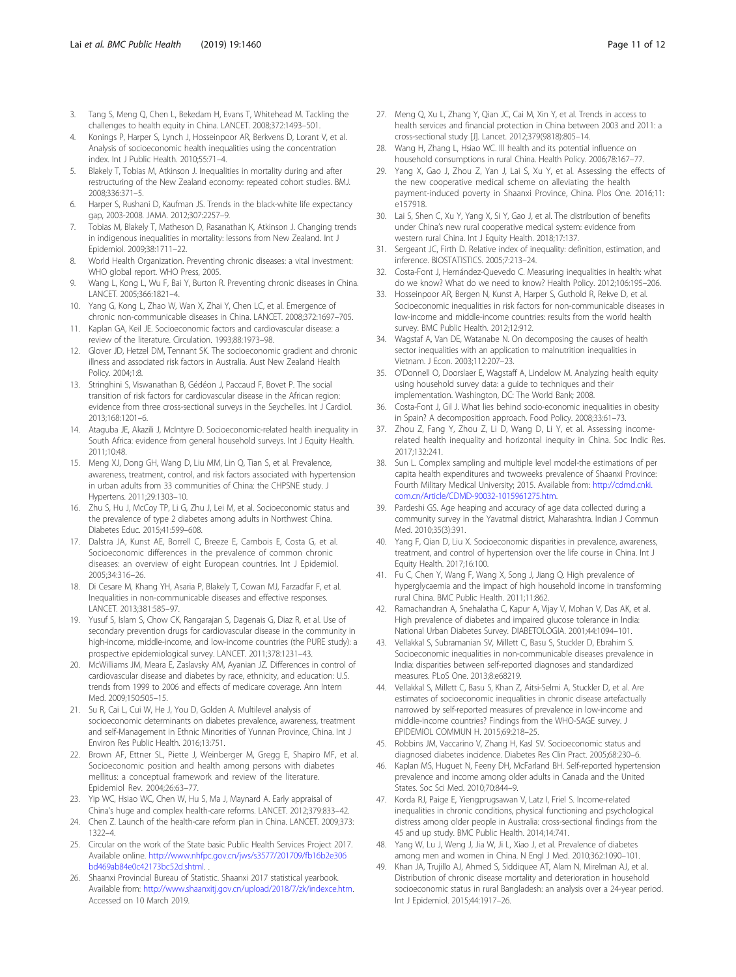- <span id="page-10-0"></span>3. Tang S, Meng Q, Chen L, Bekedam H, Evans T, Whitehead M. Tackling the challenges to health equity in China. LANCET. 2008;372:1493–501.
- 4. Konings P, Harper S, Lynch J, Hosseinpoor AR, Berkvens D, Lorant V, et al. Analysis of socioeconomic health inequalities using the concentration index. Int J Public Health. 2010;55:71–4.
- 5. Blakely T, Tobias M, Atkinson J. Inequalities in mortality during and after restructuring of the New Zealand economy: repeated cohort studies. BMJ. 2008;336:371–5.
- 6. Harper S, Rushani D, Kaufman JS. Trends in the black-white life expectancy gap, 2003-2008. JAMA. 2012;307:2257–9.
- Tobias M, Blakely T, Matheson D, Rasanathan K, Atkinson J. Changing trends in indigenous inequalities in mortality: lessons from New Zealand. Int J Epidemiol. 2009;38:1711–22.
- 8. World Health Organization. Preventing chronic diseases: a vital investment: WHO global report. WHO Press, 2005.
- 9. Wang L, Kong L, Wu F, Bai Y, Burton R. Preventing chronic diseases in China. LANCET. 2005;366:1821–4.
- 10. Yang G, Kong L, Zhao W, Wan X, Zhai Y, Chen LC, et al. Emergence of chronic non-communicable diseases in China. LANCET. 2008;372:1697–705.
- 11. Kaplan GA, Keil JE. Socioeconomic factors and cardiovascular disease: a review of the literature. Circulation. 1993;88:1973–98.
- 12. Glover JD, Hetzel DM, Tennant SK. The socioeconomic gradient and chronic illness and associated risk factors in Australia. Aust New Zealand Health Policy. 2004;1:8.
- 13. Stringhini S, Viswanathan B, Gédéon J, Paccaud F, Bovet P. The social transition of risk factors for cardiovascular disease in the African region: evidence from three cross-sectional surveys in the Seychelles. Int J Cardiol. 2013;168:1201–6.
- 14. Ataguba JE, Akazili J, McIntyre D. Socioeconomic-related health inequality in South Africa: evidence from general household surveys. Int J Equity Health. 2011;10:48.
- 15. Meng XJ, Dong GH, Wang D, Liu MM, Lin Q, Tian S, et al. Prevalence, awareness, treatment, control, and risk factors associated with hypertension in urban adults from 33 communities of China: the CHPSNE study. J Hypertens. 2011;29:1303–10.
- 16. Zhu S, Hu J, McCoy TP, Li G, Zhu J, Lei M, et al. Socioeconomic status and the prevalence of type 2 diabetes among adults in Northwest China. Diabetes Educ. 2015;41:599–608.
- 17. Dalstra JA, Kunst AE, Borrell C, Breeze E, Cambois E, Costa G, et al. Socioeconomic differences in the prevalence of common chronic diseases: an overview of eight European countries. Int J Epidemiol. 2005;34:316–26.
- 18. Di Cesare M, Khang YH, Asaria P, Blakely T, Cowan MJ, Farzadfar F, et al. Inequalities in non-communicable diseases and effective responses. LANCET. 2013;381:585–97.
- 19. Yusuf S, Islam S, Chow CK, Rangarajan S, Dagenais G, Diaz R, et al. Use of secondary prevention drugs for cardiovascular disease in the community in high-income, middle-income, and low-income countries (the PURE study): a prospective epidemiological survey. LANCET. 2011;378:1231–43.
- 20. McWilliams JM, Meara E, Zaslavsky AM, Ayanian JZ. Differences in control of cardiovascular disease and diabetes by race, ethnicity, and education: U.S. trends from 1999 to 2006 and effects of medicare coverage. Ann Intern Med. 2009;150:505–15.
- 21. Su R, Cai L, Cui W, He J, You D, Golden A. Multilevel analysis of socioeconomic determinants on diabetes prevalence, awareness, treatment and self-Management in Ethnic Minorities of Yunnan Province, China. Int J Environ Res Public Health. 2016;13:751.
- 22. Brown AF, Ettner SL, Piette J, Weinberger M, Gregg E, Shapiro MF, et al. Socioeconomic position and health among persons with diabetes mellitus: a conceptual framework and review of the literature. Epidemiol Rev. 2004;26:63–77.
- 23. Yip WC, Hsiao WC, Chen W, Hu S, Ma J, Maynard A. Early appraisal of China's huge and complex health-care reforms. LANCET. 2012;379:833–42.
- 24. Chen Z. Launch of the health-care reform plan in China. LANCET. 2009;373: 1322–4.
- 25. Circular on the work of the State basic Public Health Services Project 2017. Available online. [http://www.nhfpc.gov.cn/jws/s3577/201709/fb16b2e306](http://www.nhfpc.gov.cn/jws/s3577/201709/fb16b2e306bd469ab84e0c42173bc52d.shtml) [bd469ab84e0c42173bc52d.shtml](http://www.nhfpc.gov.cn/jws/s3577/201709/fb16b2e306bd469ab84e0c42173bc52d.shtml). .
- 26. Shaanxi Provincial Bureau of Statistic. Shaanxi 2017 statistical yearbook. Available from: <http://www.shaanxitj.gov.cn/upload/2018/7/zk/indexce.htm>. Accessed on 10 March 2019.
- 27. Meng Q, Xu L, Zhang Y, Qian JC, Cai M, Xin Y, et al. Trends in access to health services and financial protection in China between 2003 and 2011: a cross-sectional study [J]. Lancet. 2012;379(9818):805–14.
- 28. Wang H, Zhang L, Hsiao WC. Ill health and its potential influence on household consumptions in rural China. Health Policy. 2006;78:167–77.
- 29. Yang X, Gao J, Zhou Z, Yan J, Lai S, Xu Y, et al. Assessing the effects of the new cooperative medical scheme on alleviating the health payment-induced poverty in Shaanxi Province, China. Plos One. 2016;11: e157918.
- 30. Lai S, Shen C, Xu Y, Yang X, Si Y, Gao J, et al. The distribution of benefits under China's new rural cooperative medical system: evidence from western rural China. Int J Equity Health. 2018;17:137.
- 31. Sergeant JC, Firth D. Relative index of inequality: definition, estimation, and inference. BIOSTATISTICS. 2005;7:213–24.
- 32. Costa-Font J, Hernández-Quevedo C. Measuring inequalities in health: what do we know? What do we need to know? Health Policy. 2012;106:195–206.
- 33. Hosseinpoor AR, Bergen N, Kunst A, Harper S, Guthold R, Rekve D, et al. Socioeconomic inequalities in risk factors for non-communicable diseases in low-income and middle-income countries: results from the world health survey. BMC Public Health. 2012;12:912.
- 34. Wagstaf A, Van DE, Watanabe N. On decomposing the causes of health sector inequalities with an application to malnutrition inequalities in Vietnam. J Econ. 2003;112:207–23.
- 35. O'Donnell O, Doorslaer E, Wagstaff A, Lindelow M. Analyzing health equity using household survey data: a guide to techniques and their implementation. Washington, DC: The World Bank; 2008.
- 36. Costa-Font J, Gil J. What lies behind socio-economic inequalities in obesity in Spain? A decomposition approach. Food Policy. 2008;33:61–73.
- 37. Zhou Z, Fang Y, Zhou Z, Li D, Wang D, Li Y, et al. Assessing incomerelated health inequality and horizontal inequity in China. Soc Indic Res. 2017;132:241.
- 38. Sun L. Complex sampling and multiple level model-the estimations of per capita health expenditures and twoweeks prevalence of Shaanxi Province: Fourth Military Medical University; 2015. Available from: [http://cdmd.cnki.](http://cdmd.cnki.com.cn/Article/CDMD-90032-1015961275.htm) [com.cn/Article/CDMD-90032-1015961275.htm](http://cdmd.cnki.com.cn/Article/CDMD-90032-1015961275.htm).
- 39. Pardeshi GS. Age heaping and accuracy of age data collected during a community survey in the Yavatmal district, Maharashtra. Indian J Commun Med. 2010;35(3):391.
- 40. Yang F, Qian D, Liu X. Socioeconomic disparities in prevalence, awareness, treatment, and control of hypertension over the life course in China. Int J Equity Health. 2017;16:100.
- 41. Fu C, Chen Y, Wang F, Wang X, Song J, Jiang Q. High prevalence of hyperglycaemia and the impact of high household income in transforming rural China. BMC Public Health. 2011;11:862.
- 42. Ramachandran A, Snehalatha C, Kapur A, Vijay V, Mohan V, Das AK, et al. High prevalence of diabetes and impaired glucose tolerance in India: National Urban Diabetes Survey. DIABETOLOGIA. 2001;44:1094–101.
- 43. Vellakkal S, Subramanian SV, Millett C, Basu S, Stuckler D, Ebrahim S. Socioeconomic inequalities in non-communicable diseases prevalence in India: disparities between self-reported diagnoses and standardized measures. PLoS One. 2013;8:e68219.
- 44. Vellakkal S, Millett C, Basu S, Khan Z, Aitsi-Selmi A, Stuckler D, et al. Are estimates of socioeconomic inequalities in chronic disease artefactually narrowed by self-reported measures of prevalence in low-income and middle-income countries? Findings from the WHO-SAGE survey. J EPIDEMIOL COMMUN H. 2015;69:218–25.
- 45. Robbins JM, Vaccarino V, Zhang H, Kasl SV. Socioeconomic status and diagnosed diabetes incidence. Diabetes Res Clin Pract. 2005;68:230–6.
- 46. Kaplan MS, Huguet N, Feeny DH, McFarland BH. Self-reported hypertension prevalence and income among older adults in Canada and the United States. Soc Sci Med. 2010;70:844–9.
- 47. Korda RJ, Paige E, Yiengprugsawan V, Latz I, Friel S. Income-related inequalities in chronic conditions, physical functioning and psychological distress among older people in Australia: cross-sectional findings from the 45 and up study. BMC Public Health. 2014;14:741.
- 48. Yang W, Lu J, Weng J, Jia W, Ji L, Xiao J, et al. Prevalence of diabetes among men and women in China. N Engl J Med. 2010;362:1090–101.
- 49. Khan JA, Trujillo AJ, Ahmed S, Siddiquee AT, Alam N, Mirelman AJ, et al. Distribution of chronic disease mortality and deterioration in household socioeconomic status in rural Bangladesh: an analysis over a 24-year period. Int J Epidemiol. 2015;44:1917–26.